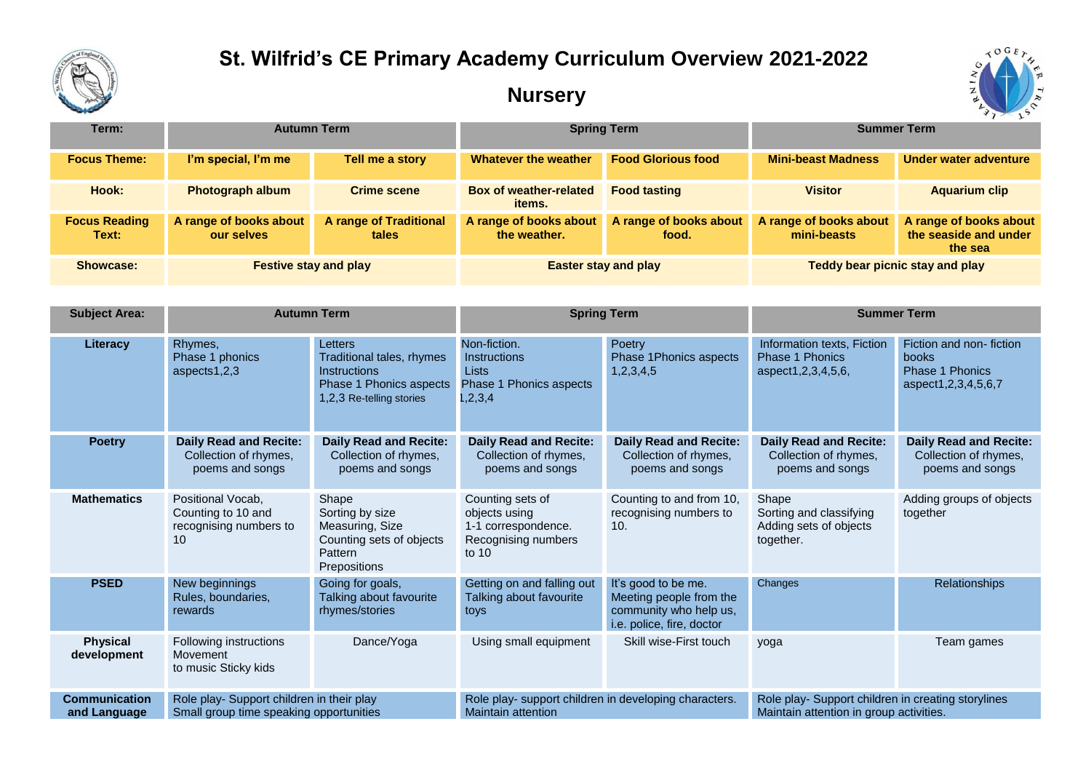

## **St. Wilfrid's CE Primary Academy Curriculum Overview 2021-2022**

## **Nursery**



| Term:                         | <b>Autumn Term</b>                   |                                 | <b>Spring Term</b>                      |                                 | <b>Summer Term</b>                    |                                                            |
|-------------------------------|--------------------------------------|---------------------------------|-----------------------------------------|---------------------------------|---------------------------------------|------------------------------------------------------------|
| <b>Focus Theme:</b>           | I'm special, I'm me                  | Tell me a story                 | Whatever the weather                    | <b>Food Glorious food</b>       | <b>Mini-beast Madness</b>             | Under water adventure                                      |
| Hook:                         | <b>Photograph album</b>              | <b>Crime scene</b>              | <b>Box of weather-related</b><br>items. | <b>Food tasting</b>             | <b>Visitor</b>                        | <b>Aquarium clip</b>                                       |
| <b>Focus Reading</b><br>Text: | A range of books about<br>our selves | A range of Traditional<br>tales | A range of books about<br>the weather.  | A range of books about<br>food. | A range of books about<br>mini-beasts | A range of books about<br>the seaside and under<br>the sea |
| <b>Showcase:</b>              | <b>Festive stay and play</b>         |                                 | <b>Easter stay and play</b>             |                                 | Teddy bear picnic stay and play       |                                                            |

| <b>Subject Area:</b>                 | <b>Autumn Term</b>                                                                   |                                                                                                                    | <b>Spring Term</b>                                                                           |                                                                                                       | <b>Summer Term</b>                                                                            |                                                                                         |
|--------------------------------------|--------------------------------------------------------------------------------------|--------------------------------------------------------------------------------------------------------------------|----------------------------------------------------------------------------------------------|-------------------------------------------------------------------------------------------------------|-----------------------------------------------------------------------------------------------|-----------------------------------------------------------------------------------------|
| Literacy                             | Rhymes,<br>Phase 1 phonics<br>aspects1,2,3                                           | Letters<br>Traditional tales, rhymes<br>Instructions<br><b>Phase 1 Phonics aspects</b><br>1,2,3 Re-telling stories | Non-fiction.<br><b>Instructions</b><br><b>Lists</b><br>Phase 1 Phonics aspects<br>1, 2, 3, 4 | Poetry<br>Phase 1Phonics aspects<br>1,2,3,4,5                                                         | Information texts, Fiction<br>Phase 1 Phonics<br>aspect1, 2, 3, 4, 5, 6,                      | Fiction and non-fiction<br>books<br><b>Phase 1 Phonics</b><br>aspect1, 2, 3, 4, 5, 6, 7 |
| <b>Poetry</b>                        | <b>Daily Read and Recite:</b><br>Collection of rhymes,<br>poems and songs            | <b>Daily Read and Recite:</b><br>Collection of rhymes,<br>poems and songs                                          | <b>Daily Read and Recite:</b><br>Collection of rhymes,<br>poems and songs                    | <b>Daily Read and Recite:</b><br>Collection of rhymes,<br>poems and songs                             | <b>Daily Read and Recite:</b><br>Collection of rhymes,<br>poems and songs                     | <b>Daily Read and Recite:</b><br>Collection of rhymes,<br>poems and songs               |
| <b>Mathematics</b>                   | Positional Vocab,<br>Counting to 10 and<br>recognising numbers to<br>10              | Shape<br>Sorting by size<br>Measuring, Size<br>Counting sets of objects<br>Pattern<br><b>Prepositions</b>          | Counting sets of<br>objects using<br>1-1 correspondence.<br>Recognising numbers<br>to $10$   | Counting to and from 10,<br>recognising numbers to<br>10.                                             | Shape<br>Sorting and classifying<br>Adding sets of objects<br>together.                       | Adding groups of objects<br>together                                                    |
| <b>PSED</b>                          | New beginnings<br>Rules, boundaries,<br>rewards                                      | Going for goals,<br>Talking about favourite<br>rhymes/stories                                                      | Getting on and falling out<br>Talking about favourite<br>toys                                | It's good to be me.<br>Meeting people from the<br>community who help us,<br>i.e. police, fire, doctor | Changes                                                                                       | Relationships                                                                           |
| <b>Physical</b><br>development       | Following instructions<br>Movement<br>to music Sticky kids                           | Dance/Yoga                                                                                                         | Using small equipment                                                                        | Skill wise-First touch                                                                                | yoga                                                                                          | Team games                                                                              |
| <b>Communication</b><br>and Language | Role play- Support children in their play<br>Small group time speaking opportunities |                                                                                                                    | Role play- support children in developing characters.<br><b>Maintain attention</b>           |                                                                                                       | Role play- Support children in creating storylines<br>Maintain attention in group activities. |                                                                                         |